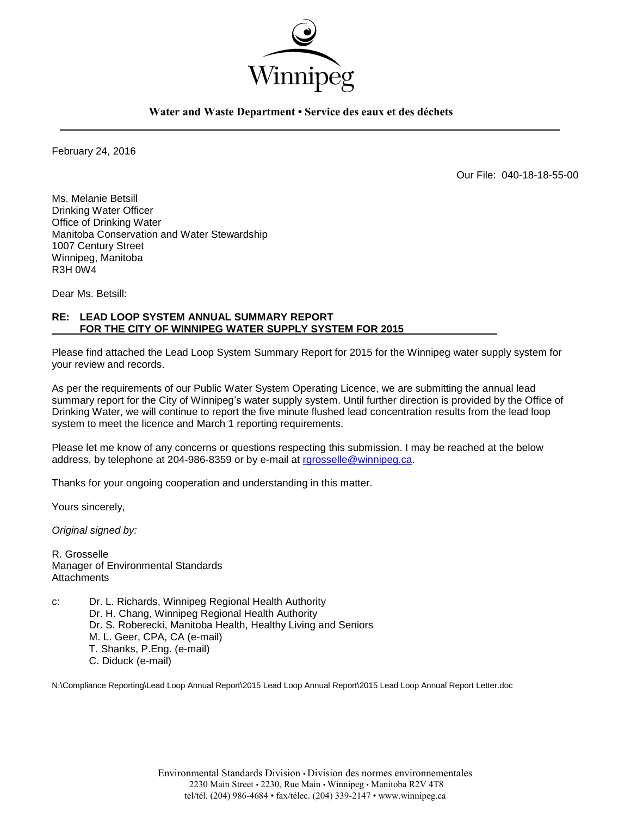

**Water and Waste Department • Service des eaux et des déchets**

February 24, 2016

Our File: 040-18-18-55-00

Ms. Melanie Betsill Drinking Water Officer Office of Drinking Water Manitoba Conservation and Water Stewardship 1007 Century Street Winnipeg, Manitoba R3H 0W4

Dear Ms. Betsill:

## **RE: LEAD LOOP SYSTEM ANNUAL SUMMARY REPORT FOR THE CITY OF WINNIPEG WATER SUPPLY SYSTEM FOR 2015**

Please find attached the Lead Loop System Summary Report for 2015 for the Winnipeg water supply system for your review and records.

As per the requirements of our Public Water System Operating Licence, we are submitting the annual lead summary report for the City of Winnipeg's water supply system. Until further direction is provided by the Office of Drinking Water, we will continue to report the five minute flushed lead concentration results from the lead loop system to meet the licence and March 1 reporting requirements.

Please let me know of any concerns or questions respecting this submission. I may be reached at the below address, by telephone at 204-986-8359 or by e-mail at [rgrosselle@winnipeg.ca.](mailto:rgrosselle@winnipeg.ca)

Thanks for your ongoing cooperation and understanding in this matter.

Yours sincerely,

*Original signed by:*

R. Grosselle Manager of Environmental Standards **Attachments** 

c: Dr. L. Richards, Winnipeg Regional Health Authority Dr. H. Chang, Winnipeg Regional Health Authority Dr. S. Roberecki, Manitoba Health, Healthy Living and Seniors M. L. Geer, CPA, CA (e-mail) T. Shanks, P.Eng. (e-mail) C. Diduck (e-mail)

N:\Compliance Reporting\Lead Loop Annual Report\2015 Lead Loop Annual Report\2015 Lead Loop Annual Report Letter.doc